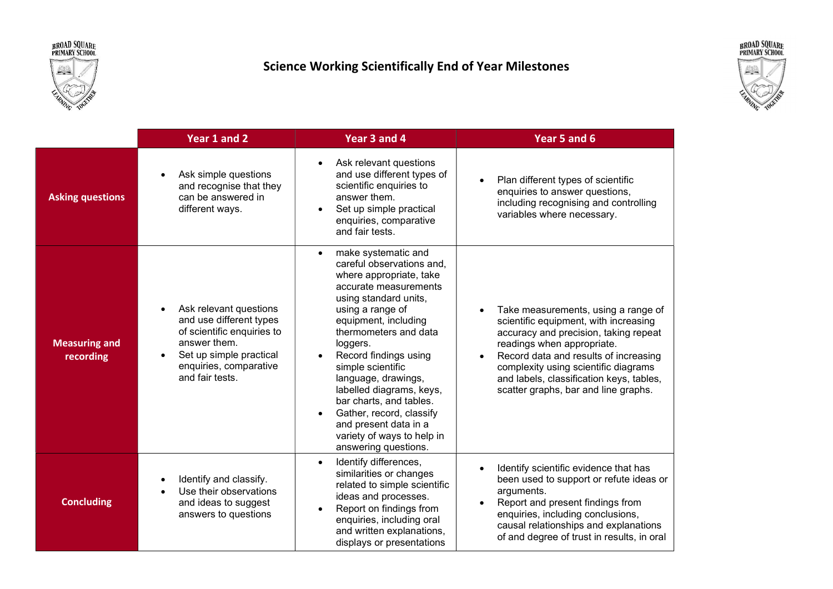broad Square<br>primary school



## Science Working Scientifically End of Year Milestones



|                                   | Year 1 and 2                                                                                                                                                                                      | Year 3 and 4                                                                                                                                                                                                                                                                                                                                                                                                                                                       | Year 5 and 6                                                                                                                                                                                                                                                                                                             |
|-----------------------------------|---------------------------------------------------------------------------------------------------------------------------------------------------------------------------------------------------|--------------------------------------------------------------------------------------------------------------------------------------------------------------------------------------------------------------------------------------------------------------------------------------------------------------------------------------------------------------------------------------------------------------------------------------------------------------------|--------------------------------------------------------------------------------------------------------------------------------------------------------------------------------------------------------------------------------------------------------------------------------------------------------------------------|
| <b>Asking questions</b>           | Ask simple questions<br>and recognise that they<br>can be answered in<br>different ways.                                                                                                          | Ask relevant questions<br>$\bullet$<br>and use different types of<br>scientific enquiries to<br>answer them.<br>Set up simple practical<br>enquiries, comparative<br>and fair tests.                                                                                                                                                                                                                                                                               | Plan different types of scientific<br>enquiries to answer questions,<br>including recognising and controlling<br>variables where necessary.                                                                                                                                                                              |
| <b>Measuring and</b><br>recording | Ask relevant questions<br>$\bullet$<br>and use different types<br>of scientific enquiries to<br>answer them.<br>Set up simple practical<br>$\bullet$<br>enquiries, comparative<br>and fair tests. | make systematic and<br>$\bullet$<br>careful observations and,<br>where appropriate, take<br>accurate measurements<br>using standard units,<br>using a range of<br>equipment, including<br>thermometers and data<br>loggers.<br>Record findings using<br>simple scientific<br>language, drawings,<br>labelled diagrams, keys,<br>bar charts, and tables.<br>Gather, record, classify<br>and present data in a<br>variety of ways to help in<br>answering questions. | Take measurements, using a range of<br>scientific equipment, with increasing<br>accuracy and precision, taking repeat<br>readings when appropriate.<br>Record data and results of increasing<br>complexity using scientific diagrams<br>and labels, classification keys, tables,<br>scatter graphs, bar and line graphs. |
| <b>Concluding</b>                 | Identify and classify.<br>Use their observations<br>and ideas to suggest<br>answers to questions                                                                                                  | Identify differences,<br>$\bullet$<br>similarities or changes<br>related to simple scientific<br>ideas and processes.<br>Report on findings from<br>enquiries, including oral<br>and written explanations,<br>displays or presentations                                                                                                                                                                                                                            | Identify scientific evidence that has<br>been used to support or refute ideas or<br>arguments.<br>Report and present findings from<br>enquiries, including conclusions,<br>causal relationships and explanations<br>of and degree of trust in results, in oral                                                           |